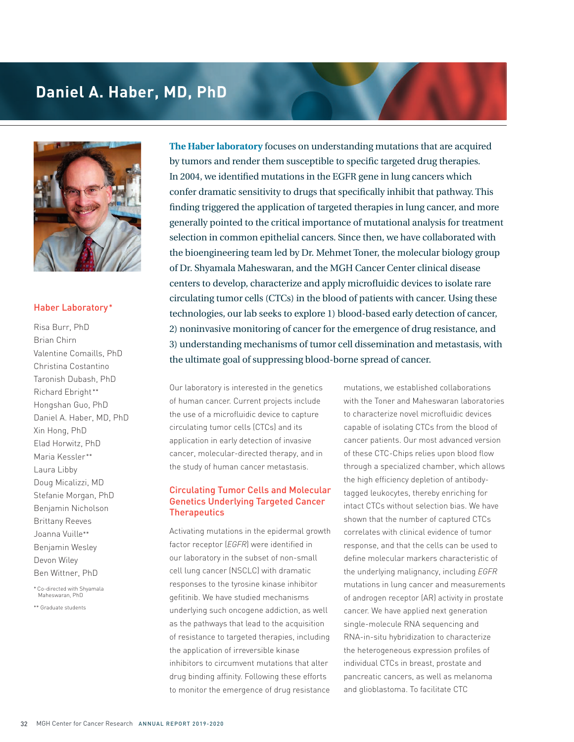## **Daniel A. Haber, MD, PhD**



## Haber Laboratory\*

Risa Burr, PhD Brian Chirn Valentine Comaills, PhD Christina Costantino Taronish Dubash, PhD Richard Ebright \*\* Hongshan Guo, PhD Daniel A. Haber, MD, PhD Xin Hong, PhD Elad Horwitz, PhD Maria Kessler\*\* Laura Libby Doug Micalizzi, MD Stefanie Morgan, PhD Benjamin Nicholson Brittany Reeves Joanna Vuille\*\* Benjamin Wesley Devon Wiley Ben Wittner, PhD

\* Co-directed with Shyamala Maheswaran, PhD

\*\* Graduate students

**The Haber laboratory** focuses on understanding mutations that are acquired by tumors and render them susceptible to specific targeted drug therapies. In 2004, we identified mutations in the EGFR gene in lung cancers which confer dramatic sensitivity to drugs that specifically inhibit that pathway. This finding triggered the application of targeted therapies in lung cancer, and more generally pointed to the critical importance of mutational analysis for treatment selection in common epithelial cancers. Since then, we have collaborated with the bioengineering team led by Dr. Mehmet Toner, the molecular biology group of Dr. Shyamala Maheswaran, and the MGH Cancer Center clinical disease centers to develop, characterize and apply microfluidic devices to isolate rare circulating tumor cells (CTCs) in the blood of patients with cancer. Using these technologies, our lab seeks to explore 1) blood-based early detection of cancer, 2) noninvasive monitoring of cancer for the emergence of drug resistance, and 3) understanding mechanisms of tumor cell dissemination and metastasis, with the ultimate goal of suppressing blood-borne spread of cancer.

Our laboratory is interested in the genetics of human cancer. Current projects include the use of a microfluidic device to capture circulating tumor cells (CTCs) and its application in early detection of invasive cancer, molecular-directed therapy, and in the study of human cancer metastasis.

## Circulating Tumor Cells and Molecular Genetics Underlying Targeted Cancer **Therapeutics**

Activating mutations in the epidermal growth factor receptor (*EGFR*) were identified in our laboratory in the subset of non-small cell lung cancer (NSCLC) with dramatic responses to the tyrosine kinase inhibitor gefitinib. We have studied mechanisms underlying such oncogene addiction, as well as the pathways that lead to the acquisition of resistance to targeted therapies, including the application of irreversible kinase inhibitors to circumvent mutations that alter drug binding affinity. Following these efforts to monitor the emergence of drug resistance

mutations, we established collaborations with the Toner and Maheswaran laboratories to characterize novel microfluidic devices capable of isolating CTCs from the blood of cancer patients. Our most advanced version of these CTC-Chips relies upon blood flow through a specialized chamber, which allows the high efficiency depletion of antibodytagged leukocytes, thereby enriching for intact CTCs without selection bias. We have shown that the number of captured CTCs correlates with clinical evidence of tumor response, and that the cells can be used to define molecular markers characteristic of the underlying malignancy, including *EGFR*  mutations in lung cancer and measurements of androgen receptor (AR) activity in prostate cancer. We have applied next generation single-molecule RNA sequencing and RNA-in-situ hybridization to characterize the heterogeneous expression profiles of individual CTCs in breast, prostate and pancreatic cancers, as well as melanoma and glioblastoma. To facilitate CTC